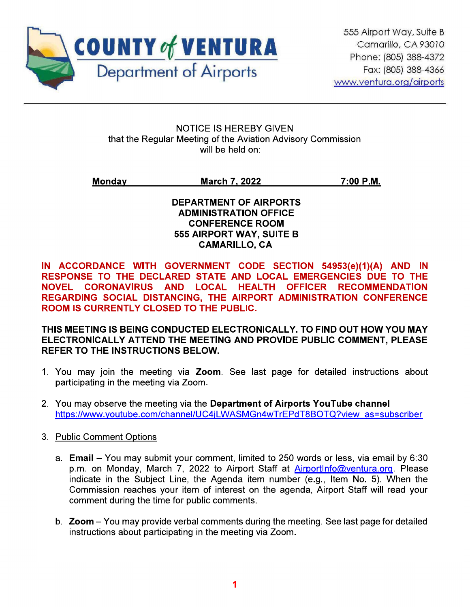

**NOTICE IS HEREBY GIVEN** that the Regular Meeting of the Aviation Advisory Commission will be held on:

**Monday March 7, 2022** 7:00 P.M.

> **DEPARTMENT OF AIRPORTS ADMINISTRATION OFFICE CONFERENCE ROOM** 555 AIRPORT WAY, SUITE B **CAMARILLO, CA**

IN ACCORDANCE WITH GOVERNMENT CODE SECTION 54953(e)(1)(A) AND IN RESPONSE TO THE DECLARED STATE AND LOCAL EMERGENCIES DUE TO THE NOVEL CORONAVIRUS AND LOCAL HEALTH OFFICER RECOMMENDATION REGARDING SOCIAL DISTANCING, THE AIRPORT ADMINISTRATION CONFERENCE ROOM IS CURRENTLY CLOSED TO THE PUBLIC.

THIS MEETING IS BEING CONDUCTED ELECTRONICALLY. TO FIND OUT HOW YOU MAY ELECTRONICALLY ATTEND THE MEETING AND PROVIDE PUBLIC COMMENT, PLEASE REFER TO THE INSTRUCTIONS BELOW.

- 1. You may join the meeting via Zoom. See last page for detailed instructions about participating in the meeting via Zoom.
- 2. You may observe the meeting via the Department of Airports YouTube channel https://www.voutube.com/channel/UC4iLWASMGn4wTrEPdT8BOTQ?view\_as=subscriber
- 3. Public Comment Options
	- a. Email You may submit your comment, limited to 250 words or less, via email by 6:30 p.m. on Monday, March 7, 2022 to Airport Staff at AirportInfo@ventura.org. Please indicate in the Subject Line, the Agenda item number (e.g., Item No. 5). When the Commission reaches your item of interest on the agenda, Airport Staff will read your comment during the time for public comments.
	- b. Zoom You may provide verbal comments during the meeting. See last page for detailed instructions about participating in the meeting via Zoom.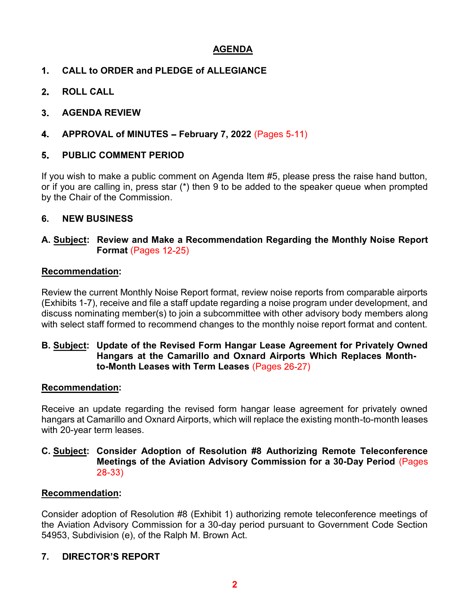### AGENDA

- CALL to ORDER and PLEDGE of ALLEGIANCE  $1<sub>-</sub>$
- $2<sub>1</sub>$ ROLL CALL
- $3<sub>1</sub>$ AGENDA REVIEW
- 4. APPROVAL of MINUTES - February 7, 2022 (Pages  $5-11$ )

#### PUBLIC COMMENT PERIOD 5.

If you wish to make a public comment on Agenda Item #5, please press the raise hand button, or if you are calling in, press star (\*) then 9 to be added to the speaker queue when prompted by the Chair of the Commission.

### 6. NEW BUSINESS

#### A. Subject: Review and Make a Recommendation Regarding the Monthly Noise Report Format (Pages  $12-25$ )

#### Recommendation:

Review the current Monthly Noise Report format, review noise reports from comparable airports (Exhibits 1-7), receive and file a staff update regarding a noise program under development, and discuss nominating member(s) to join a subcommittee with other advisory body members along with select staff formed to recommend changes to the monthly noise report format and content.

#### B. Subject: Update of the Revised Form Hangar Lease Agreement for Privately Owned Hangars at the Camarillo and Oxnard Airports Which Replaces Monthto-Month Leases with Term Leases  $(Pages 26-27)$

#### Recommendation:

Receive an update regarding the revised form hangar lease agreement for privately owned hangars at Camarillo and Oxnard Airports, which will replace the existing month-to-month leases with 20-year term leases.

#### C. Subject: Consider Adoption of Resolution #8 Authorizing Remote Teleconference Meetings of the Aviation Advisory Commission for a 30-Day Period (Pages 28-33)

### Recommendation:

Consider adoption of Resolution #8 (Exhibit 1) authorizing remote teleconference meetings of the Aviation Advisory Commission for a 30-day period pursuant to Government Code Section 54953, Subdivision (e), of the Ralph M. Brown Act.

#### **DIRECTOR'S REPORT** 7.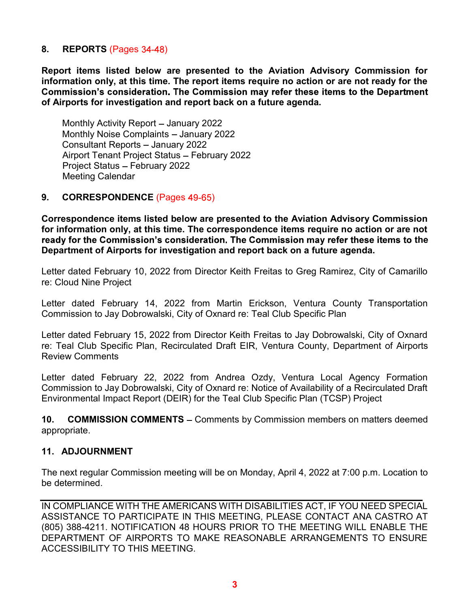#### 8. REPORTS (Pages 34-48)

Report items listed below are presented to the Aviation Advisory Commission for information only, at this time. The report items require no action or are not ready for the Commission's consideration. The Commission may refer these items to the Department of Airports for investigation and report back on a future agenda.

Monthly Activity Report - January 2022 Monthly Noise Complaints - January 2022 Consultant Reports - January 2022 Airport Tenant Project Status - February 2022 Project Status - February 2022 Meeting Calendar

#### 9. CORRESPONDENCE (Pages 49-65)

Correspondence items listed below are presented to the Aviation Advisory Commission for information only, at this time. The correspondence items require no action or are not ready for the Commission's consideration. The Commission may refer these items to the Department of Airports for investigation and report back on a future agenda.

Letter dated February 10, 2022 from Director Keith Freitas to Greg Ramirez, City of Camarillo re: Cloud Nine Project

Letter dated February 14, 2022 from Martin Erickson, Ventura County Transportation Commission to Jay Dobrowalski, City of Oxnard re: Teal Club Specific Plan

Letter dated February 15, 2022 from Director Keith Freitas to Jay Dobrowalski, City of Oxnard re: Teal Club Specific Plan, Recirculated Draft EIR, Ventura County, Department of Airports Review Comments

Letter dated February 22, 2022 from Andrea Ozdy, Ventura Local Agency Formation Commission to Jay Dobrowalski, City of Oxnard re: Notice of Availability of a Recirculated Draft Environmental Impact Report (DEIR) for the Teal Club Specific Plan (TCSP) Project

**10. COMMISSION COMMENTS – Comments by Commission members on matters deemed** appropriate.

#### 11. ADJOURNMENT

The next regular Commission meeting will be on Monday, April 4, 2022 at 7:00 p.m. Location to be determined.

IN COMPLIANCE WITH THE AMERICANS WITH DISABILITIES ACT, IF YOU NEED SPECIAL ASSISTANCE TO PARTICIPATE IN THIS MEETING, PLEASE CONTACT ANA CASTRO AT (805) 388-4211. NOTIFICATION 48 HOURS PRIOR TO THE MEETING WILL ENABLE THE DEPARTMENT OF AIRPORTS TO MAKE REASONABLE ARRANGEMENTS TO ENSURE ACCESSIBILITY TO THIS MEETING.